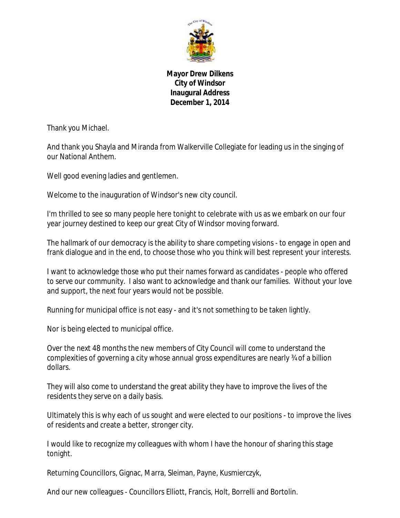

**Mayor Drew Dilkens City of Windsor Inaugural Address December 1, 2014**

Thank you Michael.

And thank you Shayla and Miranda from Walkerville Collegiate for leading us in the singing of our National Anthem.

Well good evening ladies and gentlemen.

Welcome to the inauguration of Windsor's new city council.

I'm thrilled to see so many people here tonight to celebrate with us as we embark on our four year journey destined to keep our great City of Windsor moving forward.

The hallmark of our democracy is the ability to share competing visions - to engage in open and frank dialogue and in the end, to choose those who you think will best represent your interests.

I want to acknowledge those who put their names forward as candidates - people who offered to serve our community. I also want to acknowledge and thank our families. Without your love and support, the next four years would not be possible.

Running for municipal office is not easy - and it's not something to be taken lightly.

Nor is being elected to municipal office.

Over the next 48 months the new members of City Council will come to understand the complexities of governing a city whose annual gross expenditures are nearly ¾ of a billion dollars.

They will also come to understand the great ability they have to improve the lives of the residents they serve on a daily basis.

Ultimately this is why each of us sought and were elected to our positions - to improve the lives of residents and create a better, stronger city.

I would like to recognize my colleagues with whom I have the honour of sharing this stage tonight.

Returning Councillors, Gignac, Marra, Sleiman, Payne, Kusmierczyk,

And our new colleagues - Councillors Elliott, Francis, Holt, Borrelli and Bortolin.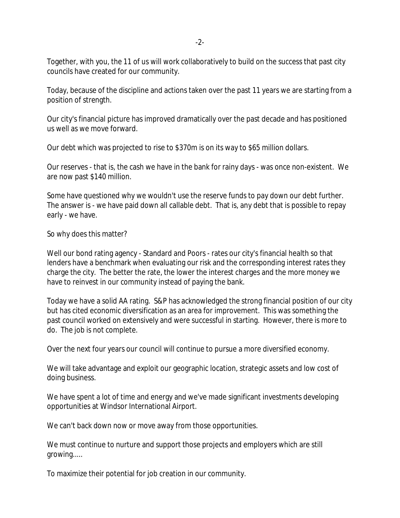-2-

Together, with you, the 11 of us will work collaboratively to build on the success that past city councils have created for our community.

Today, because of the discipline and actions taken over the past 11 years we are starting from a position of strength.

Our city's financial picture has improved dramatically over the past decade and has positioned us well as we move forward.

Our debt which was projected to rise to \$370m is on its way to \$65 million dollars.

Our reserves - that is, the cash we have in the bank for rainy days - was once non-existent. We are now past \$140 million.

Some have questioned why we wouldn't use the reserve funds to pay down our debt further. The answer is - we have paid down all callable debt. That is, any debt that is possible to repay early - we have.

So why does this matter?

Well our bond rating agency - Standard and Poors - rates our city's financial health so that lenders have a benchmark when evaluating our risk and the corresponding interest rates they charge the city. The better the rate, the lower the interest charges and the more money we have to reinvest in our community instead of paying the bank.

Today we have a solid AA rating. S&P has acknowledged the strong financial position of our city but has cited economic diversification as an area for improvement. This was something the past council worked on extensively and were successful in starting. However, there is more to do. The job is not complete.

Over the next four years our council will continue to pursue a more diversified economy.

We will take advantage and exploit our geographic location, strategic assets and low cost of doing business.

We have spent a lot of time and energy and we've made significant investments developing opportunities at Windsor International Airport.

We can't back down now or move away from those opportunities.

We must continue to nurture and support those projects and employers which are still growing.....

To maximize their potential for job creation in our community.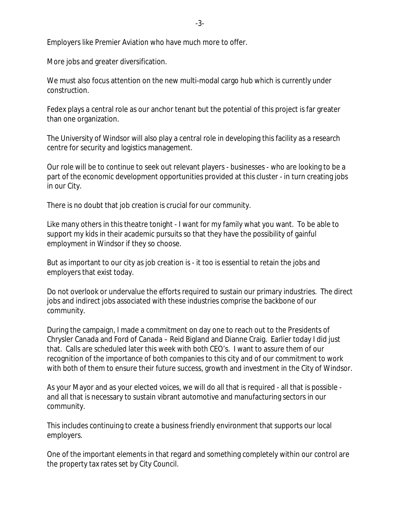Employers like Premier Aviation who have much more to offer.

More jobs and greater diversification.

We must also focus attention on the new multi-modal cargo hub which is currently under construction.

Fedex plays a central role as our anchor tenant but the potential of this project is far greater than one organization.

The University of Windsor will also play a central role in developing this facility as a research centre for security and logistics management.

Our role will be to continue to seek out relevant players - businesses - who are looking to be a part of the economic development opportunities provided at this cluster - in turn creating jobs in our City.

There is no doubt that job creation is crucial for our community.

Like many others in this theatre tonight - I want for my family what you want. To be able to support my kids in their academic pursuits so that they have the possibility of gainful employment in Windsor if they so choose.

But as important to our city as job creation is - it too is essential to retain the jobs and employers that exist today.

Do not overlook or undervalue the efforts required to sustain our primary industries. The direct jobs and indirect jobs associated with these industries comprise the backbone of our community.

During the campaign, I made a commitment on day one to reach out to the Presidents of Chrysler Canada and Ford of Canada – Reid Bigland and Dianne Craig. Earlier today I did just that. Calls are scheduled later this week with both CEO's. I want to assure them of our recognition of the importance of both companies to this city and of our commitment to work with both of them to ensure their future success, growth and investment in the City of Windsor.

As your Mayor and as your elected voices, we will do all that is required - all that is possible and all that is necessary to sustain vibrant automotive and manufacturing sectors in our community.

This includes continuing to create a business friendly environment that supports our local employers.

One of the important elements in that regard and something completely within our control are the property tax rates set by City Council.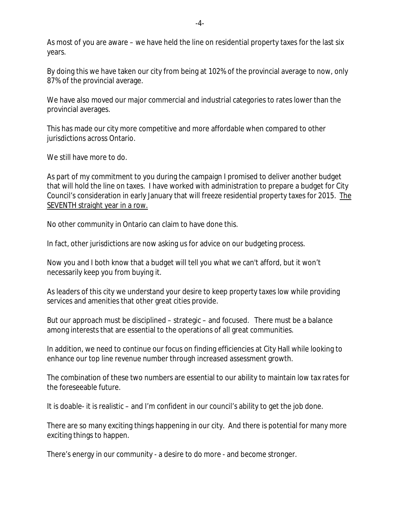As most of you are aware – we have held the line on residential property taxes for the last six years.

By doing this we have taken our city from being at 102% of the provincial average to now, only 87% of the provincial average.

We have also moved our major commercial and industrial categories to rates lower than the provincial averages.

This has made our city more competitive and more affordable when compared to other jurisdictions across Ontario.

We still have more to do.

As part of my commitment to you during the campaign I promised to deliver another budget that will hold the line on taxes. I have worked with administration to prepare a budget for City Council's consideration in early January that will freeze residential property taxes for 2015. The SEVENTH straight year in a row.

No other community in Ontario can claim to have done this.

In fact, other jurisdictions are now asking us for advice on our budgeting process.

Now you and I both know that a budget will tell you what we can't afford, but it won't necessarily keep you from buying it.

As leaders of this city we understand your desire to keep property taxes low while providing services and amenities that other great cities provide.

But our approach must be disciplined – strategic – and focused. There must be a balance among interests that are essential to the operations of all great communities.

In addition, we need to continue our focus on finding efficiencies at City Hall while looking to enhance our top line revenue number through increased assessment growth.

The combination of these two numbers are essential to our ability to maintain low tax rates for the foreseeable future.

It is doable- it is realistic – and I'm confident in our council's ability to get the job done.

There are so many exciting things happening in our city. And there is potential for many more exciting things to happen.

There's energy in our community - a desire to do more - and become stronger.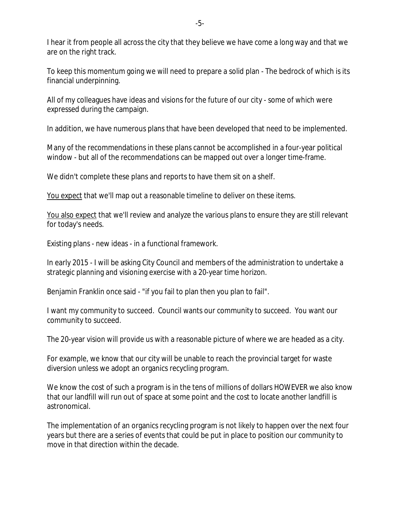I hear it from people all across the city that they believe we have come a long way and that we are on the right track.

To keep this momentum going we will need to prepare a solid plan - The bedrock of which is its financial underpinning.

All of my colleagues have ideas and visions for the future of our city - some of which were expressed during the campaign.

In addition, we have numerous plans that have been developed that need to be implemented.

Many of the recommendations in these plans cannot be accomplished in a four-year political window - but all of the recommendations can be mapped out over a longer time-frame.

We didn't complete these plans and reports to have them sit on a shelf.

You expect that we'll map out a reasonable timeline to deliver on these items.

You also expect that we'll review and analyze the various plans to ensure they are still relevant for today's needs.

Existing plans - new ideas - in a functional framework.

In early 2015 - I will be asking City Council and members of the administration to undertake a strategic planning and visioning exercise with a 20-year time horizon.

Benjamin Franklin once said - "if you fail to plan then you plan to fail".

I want my community to succeed. Council wants our community to succeed. You want our community to succeed.

The 20-year vision will provide us with a reasonable picture of where we are headed as a city.

For example, we know that our city will be unable to reach the provincial target for waste diversion unless we adopt an organics recycling program.

We know the cost of such a program is in the tens of millions of dollars HOWEVER we also know that our landfill will run out of space at some point and the cost to locate another landfill is astronomical.

The implementation of an organics recycling program is not likely to happen over the next four years but there are a series of events that could be put in place to position our community to move in that direction within the decade.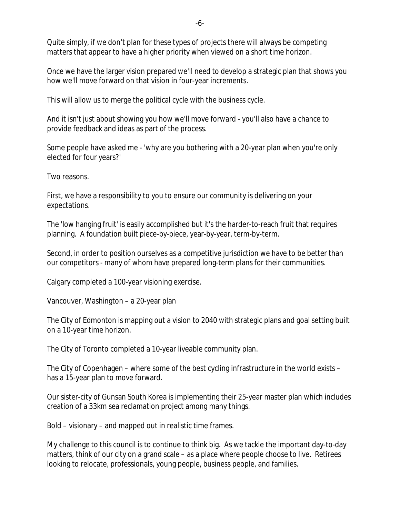Quite simply, if we don't plan for these types of projects there will always be competing matters that appear to have a higher priority when viewed on a short time horizon.

Once we have the larger vision prepared we'll need to develop a strategic plan that shows you how we'll move forward on that vision in four-year increments.

This will allow us to merge the political cycle with the business cycle.

And it isn't just about showing you how we'll move forward - you'll also have a chance to provide feedback and ideas as part of the process.

Some people have asked me - 'why are you bothering with a 20-year plan when you're only elected for four years?'

Two reasons.

First, we have a responsibility to you to ensure our community is delivering on your expectations.

The 'low hanging fruit' is easily accomplished but it's the harder-to-reach fruit that requires planning. A foundation built piece-by-piece, year-by-year, term-by-term.

Second, in order to position ourselves as a competitive jurisdiction we have to be better than our competitors - many of whom have prepared long-term plans for their communities.

Calgary completed a 100-year visioning exercise.

Vancouver, Washington – a 20-year plan

The City of Edmonton is mapping out a vision to 2040 with strategic plans and goal setting built on a 10-year time horizon.

The City of Toronto completed a 10-year liveable community plan.

The City of Copenhagen – where some of the best cycling infrastructure in the world exists – has a 15-year plan to move forward.

Our sister-city of Gunsan South Korea is implementing their 25-year master plan which includes creation of a 33km sea reclamation project among many things.

Bold – visionary – and mapped out in realistic time frames.

My challenge to this council is to continue to think big. As we tackle the important day-to-day matters, think of our city on a grand scale – as a place where people choose to live. Retirees looking to relocate, professionals, young people, business people, and families.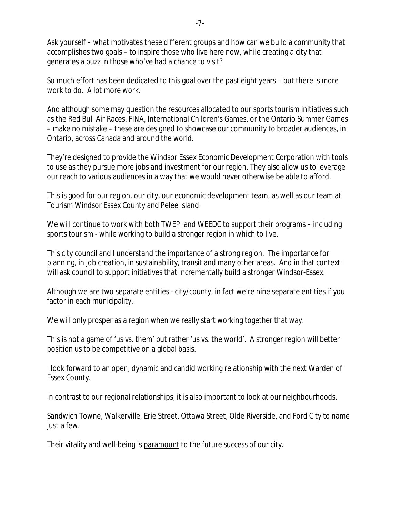Ask yourself – what motivates these different groups and how can we build a community that accomplishes two goals – to inspire those who live here now, while creating a city that generates a buzz in those who've had a chance to visit?

So much effort has been dedicated to this goal over the past eight years – but there is more work to do. A lot more work.

And although some may question the resources allocated to our sports tourism initiatives such as the Red Bull Air Races, FINA, International Children's Games, or the Ontario Summer Games – make no mistake – these are designed to showcase our community to broader audiences, in Ontario, across Canada and around the world.

They're designed to provide the Windsor Essex Economic Development Corporation with tools to use as they pursue more jobs and investment for our region. They also allow us to leverage our reach to various audiences in a way that we would never otherwise be able to afford.

This is good for our region, our city, our economic development team, as well as our team at Tourism Windsor Essex County and Pelee Island.

We will continue to work with both TWEPI and WEEDC to support their programs – including sports tourism - while working to build a stronger region in which to live.

This city council and I understand the importance of a strong region. The importance for planning, in job creation, in sustainability, transit and many other areas. And in that context I will ask council to support initiatives that incrementally build a stronger Windsor-Essex.

Although we are two separate entities - city/county, in fact we're nine separate entities if you factor in each municipality.

We will only prosper as a region when we really start working together that way.

This is not a game of 'us vs. them' but rather 'us vs. the world'. A stronger region will better position us to be competitive on a global basis.

I look forward to an open, dynamic and candid working relationship with the next Warden of Essex County.

In contrast to our regional relationships, it is also important to look at our neighbourhoods.

Sandwich Towne, Walkerville, Erie Street, Ottawa Street, Olde Riverside, and Ford City to name just a few.

Their vitality and well-being is paramount to the future success of our city.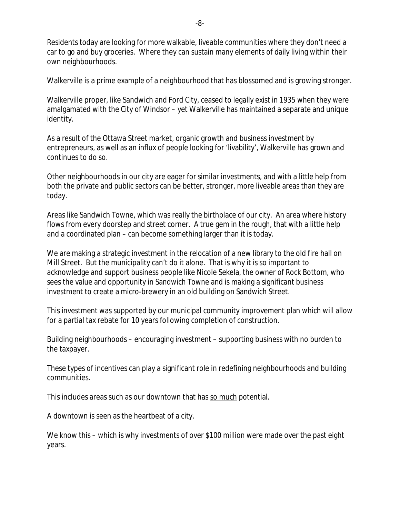Residents today are looking for more walkable, liveable communities where they don't need a car to go and buy groceries. Where they can sustain many elements of daily living within their own neighbourhoods.

Walkerville is a prime example of a neighbourhood that has blossomed and is growing stronger.

Walkerville proper, like Sandwich and Ford City, ceased to legally exist in 1935 when they were amalgamated with the City of Windsor – yet Walkerville has maintained a separate and unique identity.

As a result of the Ottawa Street market, organic growth and business investment by entrepreneurs, as well as an influx of people looking for 'livability', Walkerville has grown and continues to do so.

Other neighbourhoods in our city are eager for similar investments, and with a little help from both the private and public sectors can be better, stronger, more liveable areas than they are today.

Areas like Sandwich Towne, which was really the birthplace of our city. An area where history flows from every doorstep and street corner. A true gem in the rough, that with a little help and a coordinated plan – can become something larger than it is today.

We are making a strategic investment in the relocation of a new library to the old fire hall on Mill Street. But the municipality can't do it alone. That is why it is so important to acknowledge and support business people like Nicole Sekela, the owner of Rock Bottom, who sees the value and opportunity in Sandwich Towne and is making a significant business investment to create a micro-brewery in an old building on Sandwich Street.

This investment was supported by our municipal community improvement plan which will allow for a partial tax rebate for 10 years following completion of construction.

Building neighbourhoods – encouraging investment – supporting business with no burden to the taxpayer.

These types of incentives can play a significant role in redefining neighbourhoods and building communities.

This includes areas such as our downtown that has so much potential.

A downtown is seen as the heartbeat of a city.

We know this – which is why investments of over \$100 million were made over the past eight years.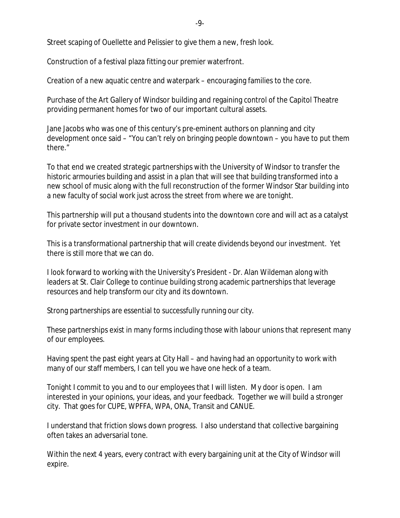Street scaping of Ouellette and Pelissier to give them a new, fresh look.

Construction of a festival plaza fitting our premier waterfront.

Creation of a new aquatic centre and waterpark – encouraging families to the core.

Purchase of the Art Gallery of Windsor building and regaining control of the Capitol Theatre providing permanent homes for two of our important cultural assets.

Jane Jacobs who was one of this century's pre-eminent authors on planning and city development once said – "You can't rely on bringing people downtown – you have to put them there."

To that end we created strategic partnerships with the University of Windsor to transfer the historic armouries building and assist in a plan that will see that building transformed into a new school of music along with the full reconstruction of the former Windsor Star building into a new faculty of social work just across the street from where we are tonight.

This partnership will put a thousand students into the downtown core and will act as a catalyst for private sector investment in our downtown.

This is a transformational partnership that will create dividends beyond our investment. Yet there is still more that we can do.

I look forward to working with the University's President - Dr. Alan Wildeman along with leaders at St. Clair College to continue building strong academic partnerships that leverage resources and help transform our city and its downtown.

Strong partnerships are essential to successfully running our city.

These partnerships exist in many forms including those with labour unions that represent many of our employees.

Having spent the past eight years at City Hall – and having had an opportunity to work with many of our staff members, I can tell you we have one heck of a team.

Tonight I commit to you and to our employees that I will listen. My door is open. I am interested in your opinions, your ideas, and your feedback. Together we will build a stronger city. That goes for CUPE, WPFFA, WPA, ONA, Transit and CANUE.

I understand that friction slows down progress. I also understand that collective bargaining often takes an adversarial tone.

Within the next 4 years, every contract with every bargaining unit at the City of Windsor will expire.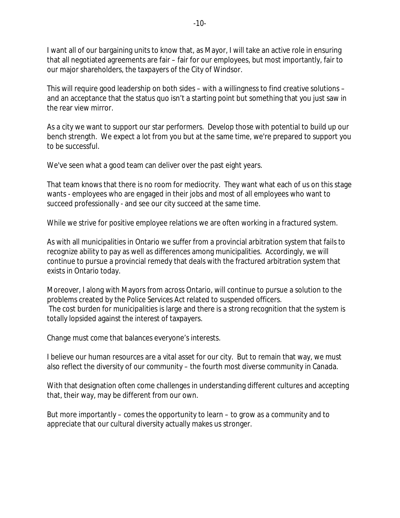I want all of our bargaining units to know that, as Mayor, I will take an active role in ensuring that all negotiated agreements are fair – fair for our employees, but most importantly, fair to our major shareholders, the taxpayers of the City of Windsor.

This will require good leadership on both sides – with a willingness to find creative solutions – and an acceptance that the status quo isn't a starting point but something that you just saw in the rear view mirror.

As a city we want to support our star performers. Develop those with potential to build up our bench strength. We expect a lot from you but at the same time, we're prepared to support you to be successful.

We've seen what a good team can deliver over the past eight years.

That team knows that there is no room for mediocrity. They want what each of us on this stage wants - employees who are engaged in their jobs and most of all employees who want to succeed professionally - and see our city succeed at the same time.

While we strive for positive employee relations we are often working in a fractured system.

As with all municipalities in Ontario we suffer from a provincial arbitration system that fails to recognize ability to pay as well as differences among municipalities. Accordingly, we will continue to pursue a provincial remedy that deals with the fractured arbitration system that exists in Ontario today.

Moreover, I along with Mayors from across Ontario, will continue to pursue a solution to the problems created by the *Police Services Act* related to suspended officers. The cost burden for municipalities is large and there is a strong recognition that the system is totally lopsided against the interest of taxpayers.

Change must come that balances everyone's interests.

I believe our human resources are a vital asset for our city. But to remain that way, we must also reflect the diversity of our community – the fourth most diverse community in Canada.

With that designation often come challenges in understanding different cultures and accepting that, their way, may be different from our own.

But more importantly – comes the opportunity to learn – to grow as a community and to appreciate that our cultural diversity actually makes us stronger.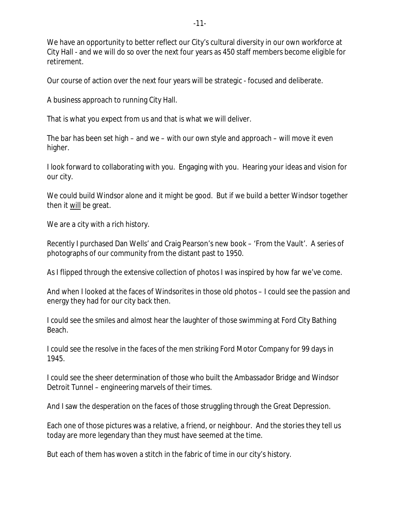We have an opportunity to better reflect our City's cultural diversity in our own workforce at City Hall - and we will do so over the next four years as 450 staff members become eligible for retirement.

Our course of action over the next four years will be strategic - focused and deliberate.

A business approach to running City Hall.

That is what you expect from us and that is what we will deliver.

The bar has been set high – and we – with our own style and approach – will move it even higher.

I look forward to collaborating with you. Engaging with you. Hearing your ideas and vision for our city.

We could build Windsor alone and it might be good. But if we build a better Windsor together then it will be great.

We are a city with a rich history.

Recently I purchased Dan Wells' and Craig Pearson's new book – 'From the Vault'. A series of photographs of our community from the distant past to 1950.

As I flipped through the extensive collection of photos I was inspired by how far we've come.

And when I looked at the faces of Windsorites in those old photos – I could see the passion and energy they had for our city back then.

I could see the smiles and almost hear the laughter of those swimming at Ford City Bathing Beach.

I could see the resolve in the faces of the men striking Ford Motor Company for 99 days in 1945.

I could see the sheer determination of those who built the Ambassador Bridge and Windsor Detroit Tunnel – engineering marvels of their times.

And I saw the desperation on the faces of those struggling through the Great Depression.

Each one of those pictures was a relative, a friend, or neighbour. And the stories they tell us today are more legendary than they must have seemed at the time.

But each of them has woven a stitch in the fabric of time in our city's history.